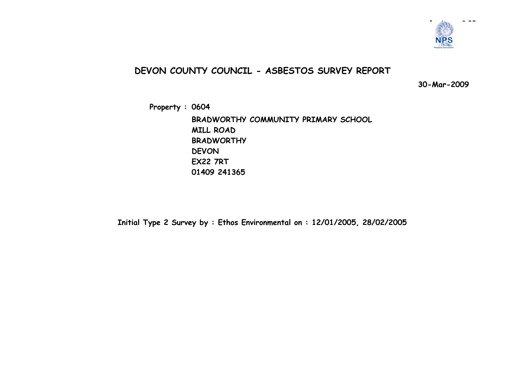

### **DEVON COUNTY COUNCIL - ASBESTOS SURVEY REPORT**

**30-Mar-2009**

**Property : 0604 BRADWORTHY COMMUNITY PRIMARY SCHOOL MILL ROAD BRADWORTHY DEVONEX22 7RT 01409 241365**

**Initial Type 2 Survey by : Ethos Environmental on : 12/01/2005, 28/02/2005**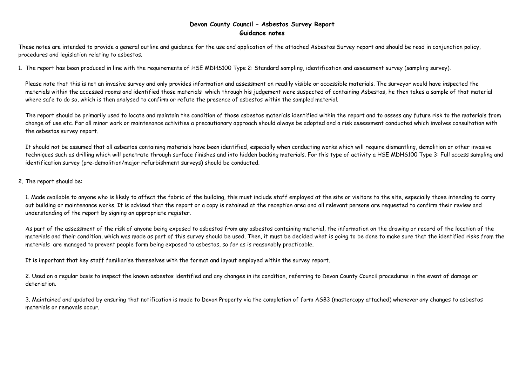### **Devon County Council – Asbestos Survey Report Guidance notes**

These notes are intended to provide a general outline and guidance for the use and application of the attached Asbestos Survey report and should be read in conjunction policy, procedures and legislation relating to asbestos.

1. The report has been produced in line with the requirements of HSE MDHS100 Type 2: Standard sampling, identification and assessment survey (sampling survey).

Please note that this is not an invasive survey and only provides information and assessment on readily visible or accessible materials. The surveyor would have inspected the materials within the accessed rooms and identified those materials which through his judgement were suspected of containing Asbestos, he then takes a sample of that material where safe to do so, which is then analysed to confirm or refute the presence of asbestos within the sampled material.

The report should be primarily used to locate and maintain the condition of those asbestos materials identified within the report and to assess any future risk to the materials from change of use etc. For all minor work or maintenance activities a precautionary approach should always be adopted and a risk assessment conducted which involves consultation with the asbestos survey report.

It should not be assumed that all asbestos containing materials have been identified, especially when conducting works which will require dismantling, demolition or other invasive techniques such as drilling which will penetrate through surface finishes and into hidden backing materials. For this type of activity a HSE MDHS100 Type 3: Full access sampling and identification survey (pre-demolition/major refurbishment surveys) should be conducted.

#### 2. The report should be:

1. Made available to anyone who is likely to affect the fabric of the building, this must include staff employed at the site or visitors to the site, especially those intending to carry out building or maintenance works. It is advised that the report or a copy is retained at the reception area and all relevant persons are requested to confirm their review and understanding of the report by signing an appropriate register.

As part of the assessment of the risk of anyone being exposed to asbestos from any asbestos containing material, the information on the drawing or record of the location of the materials and their condition, which was made as part of this survey should be used. Then, it must be decided what is going to be done to make sure that the identified risks from the materials are managed to prevent people form being exposed to asbestos, so far as is reasonably practicable.

It is important that key staff familiarise themselves with the format and layout employed within the survey report.

2. Used on a regular basis to inspect the known asbestos identified and any changes in its condition, referring to Devon County Council procedures in the event of damage or deteriation.

3. Maintained and updated by ensuring that notification is made to Devon Property via the completion of form ASB3 (mastercopy attached) whenever any changes to asbestos materials or removals occur.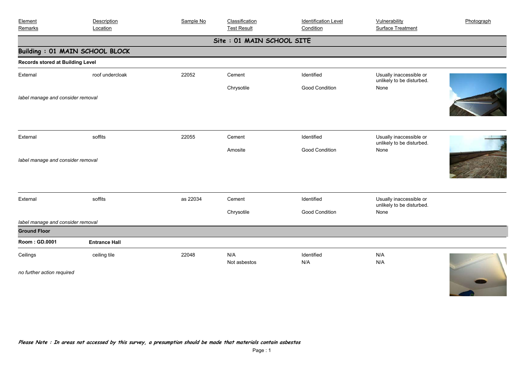| Element<br>Remarks                | Description<br>Location               | Sample No | Classification<br><b>Test Result</b> | <b>Identification Level</b><br>Condition | Vulnerability<br><b>Surface Treatment</b>            | Photograph |
|-----------------------------------|---------------------------------------|-----------|--------------------------------------|------------------------------------------|------------------------------------------------------|------------|
|                                   |                                       |           | Site: 01 MAIN SCHOOL SITE            |                                          |                                                      |            |
|                                   | <b>Building: 01 MAIN SCHOOL BLOCK</b> |           |                                      |                                          |                                                      |            |
| Records stored at Building Level  |                                       |           |                                      |                                          |                                                      |            |
| External                          | roof undercloak                       | 22052     | Cement                               | Identified                               | Usually inaccessible or<br>unlikely to be disturbed. |            |
|                                   |                                       |           | Chrysotile                           | Good Condition                           | None                                                 |            |
| label manage and consider removal |                                       |           |                                      |                                          |                                                      |            |
| External                          | soffits                               | 22055     | Cement                               | Identified                               | Usually inaccessible or<br>unlikely to be disturbed. |            |
|                                   |                                       |           | Amosite                              | Good Condition                           | None                                                 |            |
| label manage and consider removal |                                       |           |                                      |                                          |                                                      |            |
| External                          | soffits                               | as 22034  | Cement                               | Identified                               | Usually inaccessible or<br>unlikely to be disturbed. |            |
|                                   |                                       |           | Chrysotile                           | Good Condition                           | None                                                 |            |
| label manage and consider removal |                                       |           |                                      |                                          |                                                      |            |
| <b>Ground Floor</b>               |                                       |           |                                      |                                          |                                                      |            |
| Room: GD.0001                     | <b>Entrance Hall</b>                  |           |                                      |                                          |                                                      |            |
| Ceilings                          | ceiling tile                          | 22048     | N/A<br>Not asbestos                  | Identified<br>N/A                        | N/A<br>N/A                                           |            |
| no further action required        |                                       |           |                                      |                                          |                                                      |            |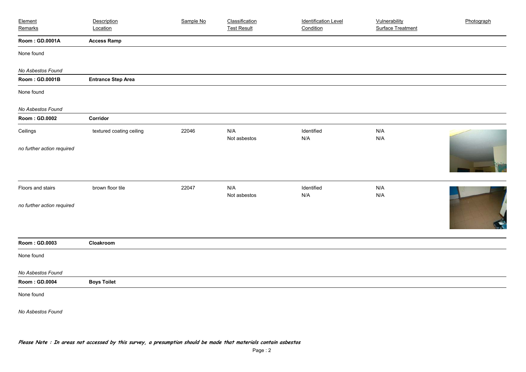| Element                    | Description               | Sample No | Classification      | <b>Identification Level</b> | Vulnerability            | Photograph |
|----------------------------|---------------------------|-----------|---------------------|-----------------------------|--------------------------|------------|
| Remarks                    | Location                  |           | <b>Test Result</b>  | Condition                   | <b>Surface Treatment</b> |            |
| Room: GD.0001A             | <b>Access Ramp</b>        |           |                     |                             |                          |            |
| None found                 |                           |           |                     |                             |                          |            |
| No Asbestos Found          |                           |           |                     |                             |                          |            |
| Room: GD.0001B             | <b>Entrance Step Area</b> |           |                     |                             |                          |            |
| None found                 |                           |           |                     |                             |                          |            |
| No Asbestos Found          |                           |           |                     |                             |                          |            |
| Room: GD.0002              | Corridor                  |           |                     |                             |                          |            |
| Ceilings                   | textured coating ceiling  | 22046     | N/A<br>Not asbestos | Identified<br>N/A           | N/A<br>N/A               |            |
| no further action required |                           |           |                     |                             |                          |            |
| Floors and stairs          | brown floor tile          | 22047     | N/A<br>Not asbestos | Identified<br>N/A           | N/A<br>N/A               |            |
| no further action required |                           |           |                     |                             |                          |            |
| Room: GD.0003              | Cloakroom                 |           |                     |                             |                          |            |
| None found                 |                           |           |                     |                             |                          |            |
| No Asbestos Found          |                           |           |                     |                             |                          |            |
| Room: GD.0004              | <b>Boys Toilet</b>        |           |                     |                             |                          |            |
| None found                 |                           |           |                     |                             |                          |            |
| No Asbestos Found          |                           |           |                     |                             |                          |            |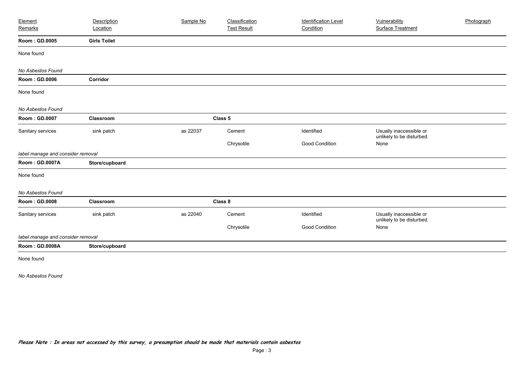| Element                           | Description         | Sample No | Classification     | <b>Identification Level</b> | Vulnerability                                        | Photograph |
|-----------------------------------|---------------------|-----------|--------------------|-----------------------------|------------------------------------------------------|------------|
| Remarks                           | Location            |           | <b>Test Result</b> | Condition                   | Surface Treatment                                    |            |
| Room: GD.0005                     | <b>Girls Toilet</b> |           |                    |                             |                                                      |            |
| None found                        |                     |           |                    |                             |                                                      |            |
| No Asbestos Found                 |                     |           |                    |                             |                                                      |            |
| Room: GD.0006                     | Corridor            |           |                    |                             |                                                      |            |
| None found                        |                     |           |                    |                             |                                                      |            |
| No Asbestos Found                 |                     |           |                    |                             |                                                      |            |
| Room: GD.0007                     | Classroom           |           | Class 5            |                             |                                                      |            |
| Sanitary services                 | sink patch          | as 22037  | Cement             | Identified                  | Usually inaccessible or<br>unlikely to be disturbed. |            |
|                                   |                     |           | Chrysotile         | <b>Good Condition</b>       | None                                                 |            |
| label manage and consider removal |                     |           |                    |                             |                                                      |            |
| Room: GD.0007A                    | Store/cupboard      |           |                    |                             |                                                      |            |
| None found                        |                     |           |                    |                             |                                                      |            |
| No Asbestos Found                 |                     |           |                    |                             |                                                      |            |
| Room: GD.0008                     | Classroom           |           | Class 8            |                             |                                                      |            |
| Sanitary services                 | sink patch          | as 22040  | Cement             | Identified                  | Usually inaccessible or<br>unlikely to be disturbed. |            |
|                                   |                     |           | Chrysotile         | Good Condition              | None                                                 |            |
| label manage and consider removal |                     |           |                    |                             |                                                      |            |
| Room: GD.0008A                    | Store/cupboard      |           |                    |                             |                                                      |            |
| None found                        |                     |           |                    |                             |                                                      |            |
| No Asbestos Found                 |                     |           |                    |                             |                                                      |            |
|                                   |                     |           |                    |                             |                                                      |            |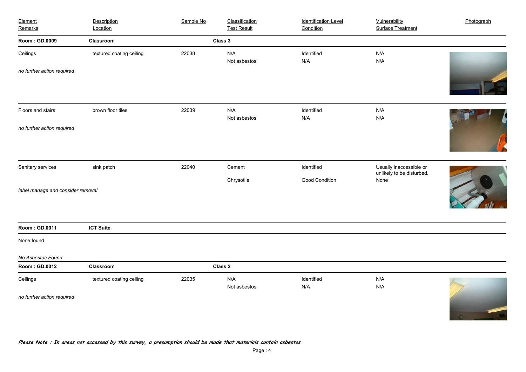| Element<br>Remarks                | Description<br>Location  | Sample No | Classification<br><b>Test Result</b> | <b>Identification Level</b><br>Condition | Vulnerability<br><b>Surface Treatment</b>            | Photograph |
|-----------------------------------|--------------------------|-----------|--------------------------------------|------------------------------------------|------------------------------------------------------|------------|
| Room: GD.0009                     | Classroom                |           | Class 3                              |                                          |                                                      |            |
| Ceilings                          | textured coating ceiling | 22038     | N/A<br>Not asbestos                  | Identified<br>N/A                        | N/A<br>N/A                                           |            |
| no further action required        |                          |           |                                      |                                          |                                                      |            |
| Floors and stairs                 | brown floor tiles        | 22039     | N/A<br>Not asbestos                  | Identified<br>N/A                        | N/A<br>N/A                                           |            |
| no further action required        |                          |           |                                      |                                          |                                                      |            |
| Sanitary services                 | sink patch               | 22040     | Cement                               | Identified                               | Usually inaccessible or<br>unlikely to be disturbed. |            |
| label manage and consider removal |                          |           | Chrysotile                           | Good Condition                           | None                                                 |            |
| Room: GD.0011                     | <b>ICT Suite</b>         |           |                                      |                                          |                                                      |            |
| None found                        |                          |           |                                      |                                          |                                                      |            |
| No Asbestos Found                 |                          |           |                                      |                                          |                                                      |            |
| Room: GD.0012                     | Classroom                |           | Class 2                              |                                          |                                                      |            |
| Ceilings                          | textured coating ceiling | 22035     | N/A<br>Not asbestos                  | Identified<br>N/A                        | N/A<br>N/A                                           |            |
| no further action required        |                          |           |                                      |                                          |                                                      | $\Omega$   |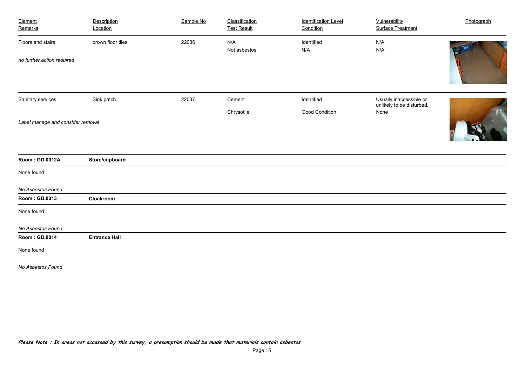| Element<br>Remarks                | Description<br>Location | Sample No | Classification<br><b>Test Result</b> | <b>Identification Level</b><br>Condition | Vulnerability<br><b>Surface Treatment</b>            | Photograph |
|-----------------------------------|-------------------------|-----------|--------------------------------------|------------------------------------------|------------------------------------------------------|------------|
| Floors and stairs                 | brown floor tiles       | 22036     | N/A<br>Not asbestos                  | Identified<br>N/A                        | N/A<br>N/A                                           |            |
| no further action required        |                         |           |                                      |                                          |                                                      |            |
| Sanitary services                 | Sink patch              | 22037     | Cement                               | Identified                               | Usually inaccessible or<br>unlikely to be disturbed. |            |
|                                   |                         |           | Chrysotile                           | Good Condition                           | None                                                 |            |
| Label manage and consider removal |                         |           |                                      |                                          |                                                      |            |
| Room: GD.0012A                    | Store/cupboard          |           |                                      |                                          |                                                      |            |
| None found                        |                         |           |                                      |                                          |                                                      |            |
| No Asbestos Found                 |                         |           |                                      |                                          |                                                      |            |
| Room: GD.0013                     | Cloakroom               |           |                                      |                                          |                                                      |            |
| None found                        |                         |           |                                      |                                          |                                                      |            |
| No Asbestos Found                 |                         |           |                                      |                                          |                                                      |            |
| Room: GD.0014                     | <b>Entrance Hall</b>    |           |                                      |                                          |                                                      |            |
| None found                        |                         |           |                                      |                                          |                                                      |            |
| No Asbestos Found                 |                         |           |                                      |                                          |                                                      |            |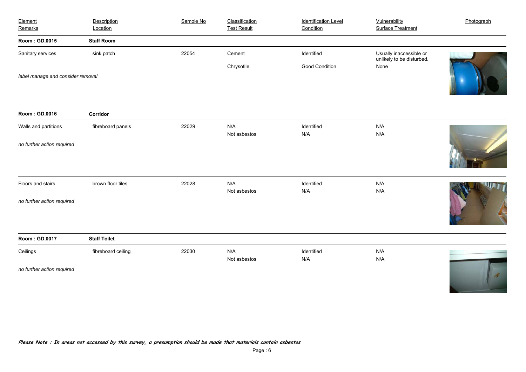| Element<br>Remarks                | Description<br>Location | Sample No | Classification<br><b>Test Result</b> | <b>Identification Level</b><br>Condition | Vulnerability<br><b>Surface Treatment</b>            | Photograph |
|-----------------------------------|-------------------------|-----------|--------------------------------------|------------------------------------------|------------------------------------------------------|------------|
| Room: GD.0015                     | <b>Staff Room</b>       |           |                                      |                                          |                                                      |            |
| Sanitary services                 | sink patch              | 22054     | Cement                               | Identified                               | Usually inaccessible or<br>unlikely to be disturbed. |            |
|                                   |                         |           | Chrysotile                           | Good Condition                           | None                                                 |            |
| label manage and consider removal |                         |           |                                      |                                          |                                                      |            |
| Room: GD.0016                     | Corridor                |           |                                      |                                          |                                                      |            |
| Walls and partitions              | fibreboard panels       | 22029     | N/A<br>Not asbestos                  | Identified<br>N/A                        | N/A<br>N/A                                           |            |
| no further action required        |                         |           |                                      |                                          |                                                      |            |
| Floors and stairs                 | brown floor tiles       | 22028     | N/A<br>Not asbestos                  | Identified<br>N/A                        | N/A<br>N/A                                           |            |
| no further action required        |                         |           |                                      |                                          |                                                      |            |
| Room: GD.0017                     | <b>Staff Toilet</b>     |           |                                      |                                          |                                                      |            |
| Ceilings                          | fibreboard ceiling      | 22030     | N/A<br>Not asbestos                  | Identified<br>N/A                        | N/A<br>N/A                                           |            |
| no further action required        |                         |           |                                      |                                          |                                                      | ď          |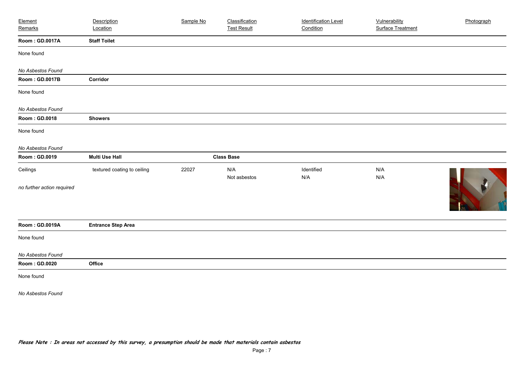| Element                    | Description                 | Sample No | Classification      | <b>Identification Level</b> | Vulnerability            | Photograph |
|----------------------------|-----------------------------|-----------|---------------------|-----------------------------|--------------------------|------------|
| Remarks                    | Location                    |           | <b>Test Result</b>  | Condition                   | <b>Surface Treatment</b> |            |
| Room: GD.0017A             | <b>Staff Toilet</b>         |           |                     |                             |                          |            |
| None found                 |                             |           |                     |                             |                          |            |
| No Asbestos Found          |                             |           |                     |                             |                          |            |
| Room: GD.0017B             | Corridor                    |           |                     |                             |                          |            |
| None found                 |                             |           |                     |                             |                          |            |
| No Asbestos Found          |                             |           |                     |                             |                          |            |
| Room: GD.0018              | <b>Showers</b>              |           |                     |                             |                          |            |
| None found                 |                             |           |                     |                             |                          |            |
| No Asbestos Found          |                             |           |                     |                             |                          |            |
| Room: GD.0019              | <b>Multi Use Hall</b>       |           | <b>Class Base</b>   |                             |                          |            |
| Ceilings                   | textured coating to ceiling | 22027     | N/A<br>Not asbestos | Identified<br>N/A           | N/A<br>N/A               |            |
| no further action required |                             |           |                     |                             |                          |            |
| Room: GD.0019A             | <b>Entrance Step Area</b>   |           |                     |                             |                          |            |
| None found                 |                             |           |                     |                             |                          |            |
| No Asbestos Found          |                             |           |                     |                             |                          |            |
| Room: GD.0020              | Office                      |           |                     |                             |                          |            |
| None found                 |                             |           |                     |                             |                          |            |
| No Asbestos Found          |                             |           |                     |                             |                          |            |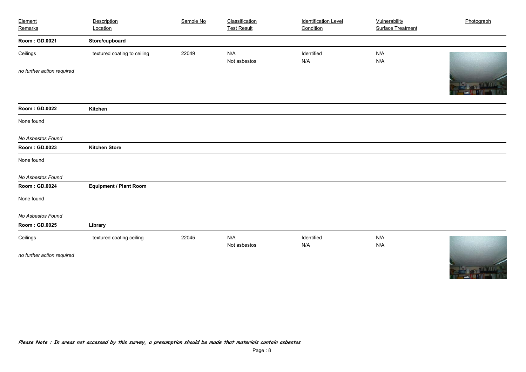| Element                    | Description                   | Sample No | Classification      | <b>Identification Level</b> | Vulnerability            | Photograph  |
|----------------------------|-------------------------------|-----------|---------------------|-----------------------------|--------------------------|-------------|
| Remarks                    | Location                      |           | <b>Test Result</b>  | Condition                   | <b>Surface Treatment</b> |             |
| Room: GD.0021              | Store/cupboard                |           |                     |                             |                          |             |
| Ceilings                   | textured coating to ceiling   | 22049     | N/A                 | Identified                  | N/A                      |             |
|                            |                               |           | Not asbestos        | N/A                         | N/A                      |             |
| no further action required |                               |           |                     |                             |                          |             |
| Room: GD.0022              | Kitchen                       |           |                     |                             |                          |             |
| None found                 |                               |           |                     |                             |                          |             |
| No Asbestos Found          |                               |           |                     |                             |                          |             |
| Room: GD.0023              | <b>Kitchen Store</b>          |           |                     |                             |                          |             |
| None found                 |                               |           |                     |                             |                          |             |
| No Asbestos Found          |                               |           |                     |                             |                          |             |
| Room: GD.0024              | <b>Equipment / Plant Room</b> |           |                     |                             |                          |             |
| None found                 |                               |           |                     |                             |                          |             |
| No Asbestos Found          |                               |           |                     |                             |                          |             |
| Room: GD.0025              | Library                       |           |                     |                             |                          |             |
| Ceilings                   | textured coating ceiling      | 22045     | N/A<br>Not asbestos | Identified<br>N/A           | N/A<br>N/A               |             |
| no further action required |                               |           |                     |                             |                          | <b>MARK</b> |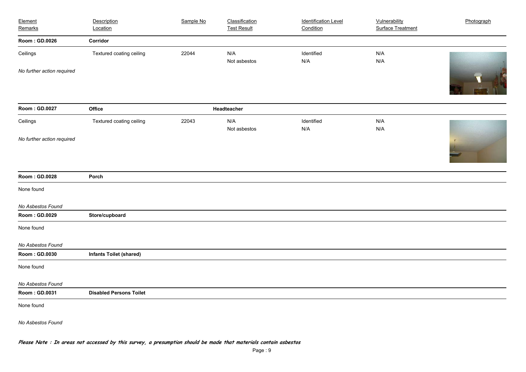| Element<br>Remarks         | Description<br>Location        | Sample No | Classification<br><b>Test Result</b> | <b>Identification Level</b><br>Condition | Vulnerability<br><b>Surface Treatment</b> | Photograph |
|----------------------------|--------------------------------|-----------|--------------------------------------|------------------------------------------|-------------------------------------------|------------|
| Room: GD.0026              | Corridor                       |           |                                      |                                          |                                           |            |
| Ceilings                   | Textured coating ceiling       | 22044     | N/A<br>Not asbestos                  | Identified<br>N/A                        | N/A<br>N/A                                |            |
| No further action required |                                |           |                                      |                                          |                                           | IK         |
| Room: GD.0027              | Office                         |           | Headteacher                          |                                          |                                           |            |
| Ceilings                   | Textured coating ceiling       | 22043     | N/A<br>Not asbestos                  | Identified<br>N/A                        | N/A<br>N/A                                |            |
| No further action required |                                |           |                                      |                                          |                                           |            |
| Room: GD.0028              | Porch                          |           |                                      |                                          |                                           |            |
| None found                 |                                |           |                                      |                                          |                                           |            |
| No Asbestos Found          |                                |           |                                      |                                          |                                           |            |
| Room: GD.0029              | Store/cupboard                 |           |                                      |                                          |                                           |            |
| None found                 |                                |           |                                      |                                          |                                           |            |
| No Asbestos Found          |                                |           |                                      |                                          |                                           |            |
| Room: GD.0030              | <b>Infants Toilet (shared)</b> |           |                                      |                                          |                                           |            |
| None found                 |                                |           |                                      |                                          |                                           |            |
| No Asbestos Found          |                                |           |                                      |                                          |                                           |            |
| Room: GD.0031              | <b>Disabled Persons Toilet</b> |           |                                      |                                          |                                           |            |
| None found                 |                                |           |                                      |                                          |                                           |            |
| No Asbestos Found          |                                |           |                                      |                                          |                                           |            |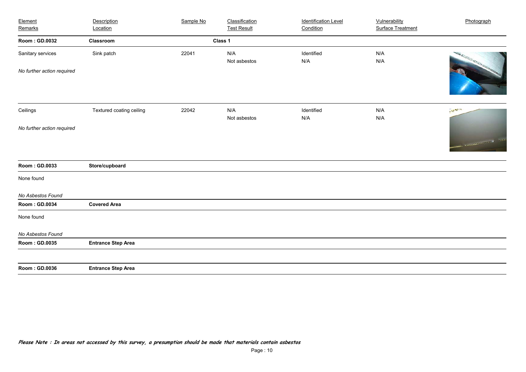| Element<br>Remarks         | Description<br>Location   | Sample No | Classification<br><b>Test Result</b> | <b>Identification Level</b><br>Condition | Vulnerability<br><b>Surface Treatment</b> | Photograph                                                                                                                                                                                                                                                                                                                                                                                                                                                    |
|----------------------------|---------------------------|-----------|--------------------------------------|------------------------------------------|-------------------------------------------|---------------------------------------------------------------------------------------------------------------------------------------------------------------------------------------------------------------------------------------------------------------------------------------------------------------------------------------------------------------------------------------------------------------------------------------------------------------|
|                            |                           |           |                                      |                                          |                                           |                                                                                                                                                                                                                                                                                                                                                                                                                                                               |
| Room: GD.0032              | Classroom                 |           | Class 1                              |                                          |                                           |                                                                                                                                                                                                                                                                                                                                                                                                                                                               |
| Sanitary services          | Sink patch                | 22041     | N/A<br>Not asbestos                  | Identified<br>N/A                        | N/A<br>N/A                                | <b>CONSTRUCTION</b>                                                                                                                                                                                                                                                                                                                                                                                                                                           |
| No further action required |                           |           |                                      |                                          |                                           |                                                                                                                                                                                                                                                                                                                                                                                                                                                               |
| Ceilings                   | Textured coating ceiling  | 22042     | N/A<br>Not asbestos                  | Identified<br>N/A                        | N/A<br>N/A                                | $\mathcal{L}_{\mathcal{A}_{\mathcal{A},\mathcal{A},\mathcal{A},\mathcal{A},\mathcal{A},\mathcal{A},\mathcal{A},\mathcal{A},\mathcal{A},\mathcal{A},\mathcal{A},\mathcal{A},\mathcal{A},\mathcal{A},\mathcal{A},\mathcal{A},\mathcal{A},\mathcal{A},\mathcal{A},\mathcal{A},\mathcal{A},\mathcal{A},\mathcal{A},\mathcal{A},\mathcal{A},\mathcal{A},\mathcal{A},\mathcal{A},\mathcal{A},\mathcal{A},\mathcal{A},\mathcal{A},\mathcal{A},\mathcal{A},\mathcal{$ |
| No further action required |                           |           |                                      |                                          |                                           |                                                                                                                                                                                                                                                                                                                                                                                                                                                               |
|                            |                           |           |                                      |                                          |                                           | a communication of the                                                                                                                                                                                                                                                                                                                                                                                                                                        |
| Room: GD.0033              | Store/cupboard            |           |                                      |                                          |                                           |                                                                                                                                                                                                                                                                                                                                                                                                                                                               |
| None found                 |                           |           |                                      |                                          |                                           |                                                                                                                                                                                                                                                                                                                                                                                                                                                               |
| No Asbestos Found          |                           |           |                                      |                                          |                                           |                                                                                                                                                                                                                                                                                                                                                                                                                                                               |
| Room: GD.0034              | <b>Covered Area</b>       |           |                                      |                                          |                                           |                                                                                                                                                                                                                                                                                                                                                                                                                                                               |
| None found                 |                           |           |                                      |                                          |                                           |                                                                                                                                                                                                                                                                                                                                                                                                                                                               |
| No Asbestos Found          |                           |           |                                      |                                          |                                           |                                                                                                                                                                                                                                                                                                                                                                                                                                                               |
| Room: GD.0035              | <b>Entrance Step Area</b> |           |                                      |                                          |                                           |                                                                                                                                                                                                                                                                                                                                                                                                                                                               |
|                            |                           |           |                                      |                                          |                                           |                                                                                                                                                                                                                                                                                                                                                                                                                                                               |
| Room: GD.0036              | <b>Entrance Step Area</b> |           |                                      |                                          |                                           |                                                                                                                                                                                                                                                                                                                                                                                                                                                               |
|                            |                           |           |                                      |                                          |                                           |                                                                                                                                                                                                                                                                                                                                                                                                                                                               |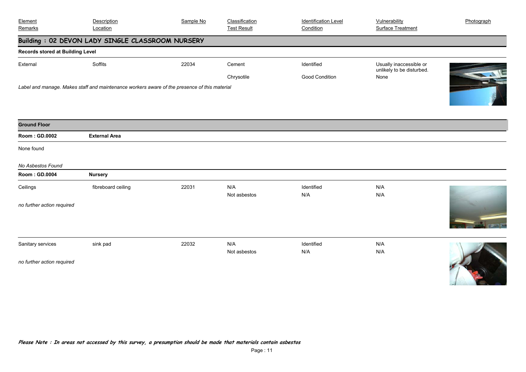| Element<br>Remarks                      | Description<br>Location                                                                      | Sample No | Classification<br><b>Test Result</b> | <b>Identification Level</b><br>Condition | Vulnerability<br><b>Surface Treatment</b>            | Photograph |
|-----------------------------------------|----------------------------------------------------------------------------------------------|-----------|--------------------------------------|------------------------------------------|------------------------------------------------------|------------|
|                                         | Building: 02 DEVON LADY SINGLE CLASSROOM NURSERY                                             |           |                                      |                                          |                                                      |            |
| <b>Records stored at Building Level</b> |                                                                                              |           |                                      |                                          |                                                      |            |
| External                                | Soffits                                                                                      | 22034     | Cement                               | Identified                               | Usually inaccessible or<br>unlikely to be disturbed. |            |
|                                         |                                                                                              |           | Chrysotile                           | Good Condition                           | None                                                 |            |
|                                         | Label and manage. Makes staff and maintenance workers aware of the presence of this material |           |                                      |                                          |                                                      |            |
|                                         |                                                                                              |           |                                      |                                          |                                                      |            |
|                                         |                                                                                              |           |                                      |                                          |                                                      |            |
| <b>Ground Floor</b>                     |                                                                                              |           |                                      |                                          |                                                      |            |
| Room: GD.0002                           | <b>External Area</b>                                                                         |           |                                      |                                          |                                                      |            |
| None found                              |                                                                                              |           |                                      |                                          |                                                      |            |
| No Asbestos Found                       |                                                                                              |           |                                      |                                          |                                                      |            |
| Room: GD.0004                           | <b>Nursery</b>                                                                               |           |                                      |                                          |                                                      |            |
| Ceilings                                | fibreboard ceiling                                                                           | 22031     | N/A                                  | Identified                               | N/A                                                  |            |
|                                         |                                                                                              |           | Not asbestos                         | N/A                                      | N/A                                                  |            |
| no further action required              |                                                                                              |           |                                      |                                          |                                                      |            |
|                                         |                                                                                              |           |                                      |                                          |                                                      |            |
|                                         |                                                                                              |           |                                      |                                          |                                                      |            |
| Sanitary services                       | sink pad                                                                                     | 22032     | N/A                                  | Identified                               | N/A                                                  |            |
|                                         |                                                                                              |           | Not asbestos                         | N/A                                      | N/A                                                  |            |
| no further action required              |                                                                                              |           |                                      |                                          |                                                      |            |
|                                         |                                                                                              |           |                                      |                                          |                                                      |            |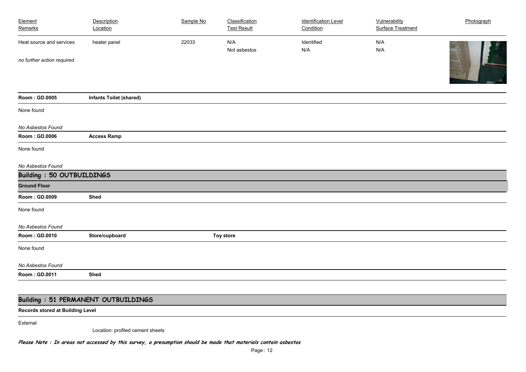| Element                           | Description                    | Sample No | Classification     | <b>Identification Level</b> | Vulnerability            | Photograph |
|-----------------------------------|--------------------------------|-----------|--------------------|-----------------------------|--------------------------|------------|
| Remarks                           | Location                       |           | <b>Test Result</b> | Condition                   | <b>Surface Treatment</b> |            |
| Heat source and services          | heater panel                   | 22033     | N/A                | Identified                  | N/A                      |            |
|                                   |                                |           | Not asbestos       | N/A                         | N/A                      |            |
| no further action required        |                                |           |                    |                             |                          |            |
|                                   |                                |           |                    |                             |                          |            |
| Room: GD.0005                     | <b>Infants Toilet (shared)</b> |           |                    |                             |                          |            |
| None found                        |                                |           |                    |                             |                          |            |
| No Asbestos Found                 |                                |           |                    |                             |                          |            |
| Room: GD.0006                     | <b>Access Ramp</b>             |           |                    |                             |                          |            |
| None found                        |                                |           |                    |                             |                          |            |
| No Asbestos Found                 |                                |           |                    |                             |                          |            |
| <b>Building : 50 OUTBUILDINGS</b> |                                |           |                    |                             |                          |            |
| <b>Ground Floor</b>               |                                |           |                    |                             |                          |            |
| Room: GD.0009                     | Shed                           |           |                    |                             |                          |            |
| None found                        |                                |           |                    |                             |                          |            |
| No Asbestos Found                 |                                |           |                    |                             |                          |            |
| Room: GD.0010                     | Store/cupboard                 |           | <b>Toy store</b>   |                             |                          |            |
| None found                        |                                |           |                    |                             |                          |            |
| No Asbestos Found                 |                                |           |                    |                             |                          |            |
| Room: GD.0011                     | <b>Shed</b>                    |           |                    |                             |                          |            |
|                                   |                                |           |                    |                             |                          |            |

### **Building : 51 PERMANENT OUTBUILDINGS**

**Records stored at Building Level**

External

Location: profiled cement sheets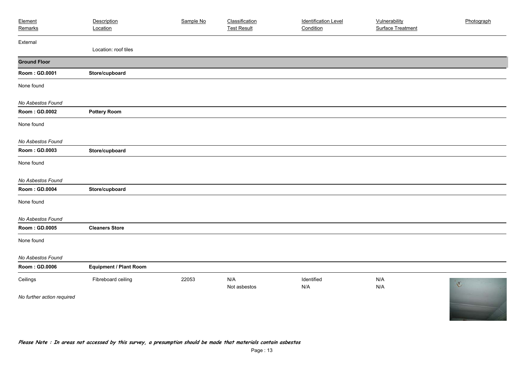| Element                    | Description                   | Sample No | Classification      | <b>Identification Level</b> | Vulnerability            | Photograph     |
|----------------------------|-------------------------------|-----------|---------------------|-----------------------------|--------------------------|----------------|
| Remarks                    | Location                      |           | <b>Test Result</b>  | Condition                   | <b>Surface Treatment</b> |                |
| External                   |                               |           |                     |                             |                          |                |
|                            | Location: roof tiles          |           |                     |                             |                          |                |
| <b>Ground Floor</b>        |                               |           |                     |                             |                          |                |
| Room: GD.0001              | Store/cupboard                |           |                     |                             |                          |                |
| None found                 |                               |           |                     |                             |                          |                |
| No Asbestos Found          |                               |           |                     |                             |                          |                |
| Room: GD.0002              | <b>Pottery Room</b>           |           |                     |                             |                          |                |
| None found                 |                               |           |                     |                             |                          |                |
| No Asbestos Found          |                               |           |                     |                             |                          |                |
| Room: GD.0003              | Store/cupboard                |           |                     |                             |                          |                |
| None found                 |                               |           |                     |                             |                          |                |
| No Asbestos Found          |                               |           |                     |                             |                          |                |
| Room: GD.0004              | Store/cupboard                |           |                     |                             |                          |                |
| None found                 |                               |           |                     |                             |                          |                |
| No Asbestos Found          |                               |           |                     |                             |                          |                |
| Room: GD.0005              | <b>Cleaners Store</b>         |           |                     |                             |                          |                |
| None found                 |                               |           |                     |                             |                          |                |
| No Asbestos Found          |                               |           |                     |                             |                          |                |
| Room: GD.0006              | <b>Equipment / Plant Room</b> |           |                     |                             |                          |                |
| Ceilings                   | Fibreboard ceiling            | 22053     | N/A<br>Not asbestos | Identified<br>N/A           | N/A<br>N/A               | $\mathfrak{C}$ |
| No further action required |                               |           |                     |                             |                          |                |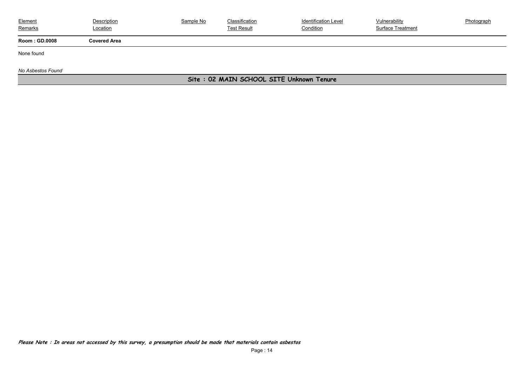| Element<br>Remarks    | Description<br>Location | Sample No | Classification<br><b>Test Result</b> | <b>Identification Level</b><br>Condition | Vulnerability<br>Surface Treatment | <b>Photograph</b> |
|-----------------------|-------------------------|-----------|--------------------------------------|------------------------------------------|------------------------------------|-------------------|
| <b>Room : GD.0008</b> | Covered Area            |           |                                      |                                          |                                    |                   |

None found

*No Asbestos Found*

### **Site : 02 MAIN SCHOOL SITE Unknown Tenure**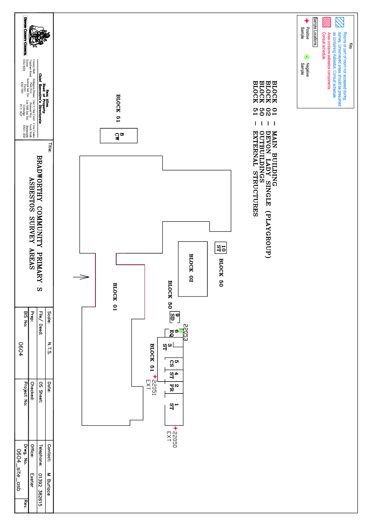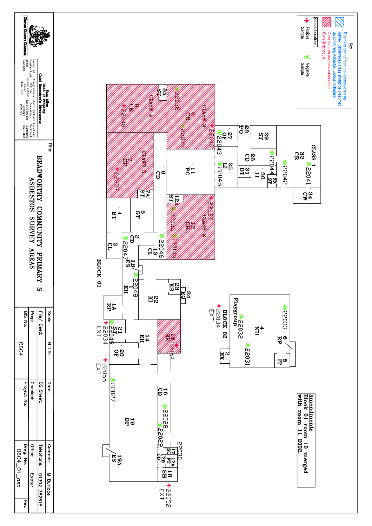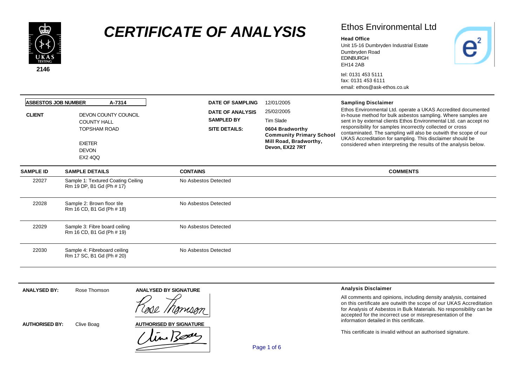

### Ethos Environmental Ltd

#### **Head Office**

Unit 15-16 Dumbryden Industrial Estate Dumbryden Road EDINBURGH EH14 2AB

tel: 0131 453 5111 fax: 0131 453 6111 email: ethos@ask-ethos.co.uk

| <b>ASBESTOS JOB NUMBER</b><br><b>CLIENT</b> | A-7314<br>DEVON COUNTY COUNCIL<br><b>COUNTY HALL</b><br><b>TOPSHAM ROAD</b> | <b>DATE OF SAMPLING</b><br><b>DATE OF ANALYSIS</b><br><b>SAMPLED BY</b><br><b>SITE DETAILS:</b> | 12/01/2005<br>25/02/2005<br>Tim Slade<br>0604 Bradworthy                     | <b>Sampling Disclaimer</b><br>Ethos Environmental Ltd. operate a UKAS Accredited documented<br>in-house method for bulk asbestos sampling. Where samples are<br>sent in by external clients Ethos Environmental Ltd. can accept no<br>responsibility for samples incorrectly collected or cross |  |  |
|---------------------------------------------|-----------------------------------------------------------------------------|-------------------------------------------------------------------------------------------------|------------------------------------------------------------------------------|-------------------------------------------------------------------------------------------------------------------------------------------------------------------------------------------------------------------------------------------------------------------------------------------------|--|--|
|                                             | <b>EXETER</b><br><b>DEVON</b><br><b>EX2 4QQ</b>                             |                                                                                                 | <b>Community Primary School</b><br>Mill Road, Bradworthy,<br>Devon, EX22 7RT | contaminated. The sampling will also be outwith the scope of our<br>UKAS Accreditation for sampling. This disclaimer should be<br>considered when interpreting the results of the analysis below.                                                                                               |  |  |
| <b>SAMPLE ID</b>                            | <b>SAMPLE DETAILS</b>                                                       | <b>CONTAINS</b>                                                                                 |                                                                              | <b>COMMENTS</b>                                                                                                                                                                                                                                                                                 |  |  |
| 22027                                       | Sample 1: Textured Coating Ceiling<br>Rm 19 DP, B1 Gd (Ph # 17)             | No Asbestos Detected                                                                            |                                                                              |                                                                                                                                                                                                                                                                                                 |  |  |
| 22028                                       | Sample 2: Brown floor tile<br>Rm 16 CD, B1 Gd (Ph # 18)                     | No Asbestos Detected                                                                            |                                                                              |                                                                                                                                                                                                                                                                                                 |  |  |
| 22029                                       | Sample 3: Fibre board ceiling<br>Rm 16 CD, B1 Gd (Ph # 19)                  | No Asbestos Detected                                                                            |                                                                              |                                                                                                                                                                                                                                                                                                 |  |  |
| 22030                                       | Sample 4: Fibreboard ceiling<br>Rm 17 SC, B1 Gd (Ph # 20)                   | No Asbestos Detected                                                                            |                                                                              |                                                                                                                                                                                                                                                                                                 |  |  |

**ANALYSED BY SIGNATURE Analysis Disclaimer ANALYSED BY:** Rose Thomson All comments and opinions, including density analysis, contained on this certificate are outwith the scope of our UKAS Accreditation for Analysis of Asbestos in Bulk Materials. No responsibility can be accepted for the incorrect use or misrepresentation of the information detailed in this certificate. **AUTHORISED BY SIGNATUREAUTHORISED BY:** Clive Boag in Bode This certificate is invalid without an authorised signature.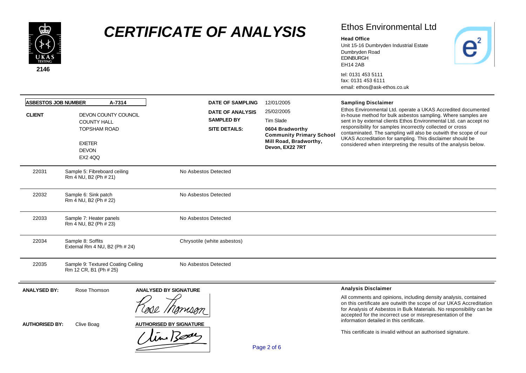

## Ethos Environmental Ltd

 $\overline{e}^2$ 

#### **Head Office**

Unit 15-16 Dumbryden Industrial Estate Dumbryden Road EDINBURGH EH14 2AB

| <b>ASBESTOS JOB NUMBER</b><br>A-7314 |                                                                                                                      | <b>DATE OF SAMPLING</b>                                              | 12/01/2005                                                                                                                 | <b>Sampling Disclaimer</b>                                                                                                                                                                                                                                                                                                                                                                                                                                             |
|--------------------------------------|----------------------------------------------------------------------------------------------------------------------|----------------------------------------------------------------------|----------------------------------------------------------------------------------------------------------------------------|------------------------------------------------------------------------------------------------------------------------------------------------------------------------------------------------------------------------------------------------------------------------------------------------------------------------------------------------------------------------------------------------------------------------------------------------------------------------|
| <b>CLIENT</b>                        | DEVON COUNTY COUNCIL<br><b>COUNTY HALL</b><br><b>TOPSHAM ROAD</b><br><b>EXETER</b><br><b>DEVON</b><br><b>EX2 4QQ</b> | <b>DATE OF ANALYSIS</b><br><b>SAMPLED BY</b><br><b>SITE DETAILS:</b> | 25/02/2005<br>Tim Slade<br>0604 Bradworthy<br><b>Community Primary School</b><br>Mill Road, Bradworthy,<br>Devon, EX22 7RT | Ethos Environmental Ltd. operate a UKAS Accredited documented<br>in-house method for bulk asbestos sampling. Where samples are<br>sent in by external clients Ethos Environmental Ltd. can accept no<br>responsibility for samples incorrectly collected or cross<br>contaminated. The sampling will also be outwith the scope of our<br>UKAS Accreditation for sampling. This disclaimer should be<br>considered when interpreting the results of the analysis below. |
| 22031                                | Sample 5: Fibreboard ceiling<br>Rm 4 NU, B2 (Ph # 21)                                                                | No Asbestos Detected                                                 |                                                                                                                            |                                                                                                                                                                                                                                                                                                                                                                                                                                                                        |
| 22032                                | Sample 6: Sink patch<br>Rm 4 NU, B2 (Ph # 22)                                                                        | No Asbestos Detected                                                 |                                                                                                                            |                                                                                                                                                                                                                                                                                                                                                                                                                                                                        |
| 22033                                | Sample 7: Heater panels<br>Rm 4 NU, B2 (Ph # 23)                                                                     | No Asbestos Detected                                                 |                                                                                                                            |                                                                                                                                                                                                                                                                                                                                                                                                                                                                        |
| 22034                                | Sample 8: Soffits<br>External Rm 4 NU, B2 (Ph # 24)                                                                  | Chrysotile (white asbestos)                                          |                                                                                                                            |                                                                                                                                                                                                                                                                                                                                                                                                                                                                        |
| 22035                                | Sample 9: Textured Coating Ceiling<br>Rm 12 CR, B1 (Ph # 25)                                                         | No Asbestos Detected                                                 |                                                                                                                            |                                                                                                                                                                                                                                                                                                                                                                                                                                                                        |
| <b>ANALYSED BY:</b>                  | Rose Thomson                                                                                                         | <b>ANALYSED BY SIGNATURE</b>                                         |                                                                                                                            | <b>Analysis Disclaimer</b>                                                                                                                                                                                                                                                                                                                                                                                                                                             |
| <b>AUTHORISED BY:</b>                | Clive Boag                                                                                                           | <b>AUTHORISED BY SIGNATURE</b><br>time Bode                          | Page 2 of 6                                                                                                                | All comments and opinions, including density analysis, contained<br>on this certificate are outwith the scope of our UKAS Accreditation<br>for Analysis of Asbestos in Bulk Materials. No responsibility can be<br>accepted for the incorrect use or misrepresentation of the<br>information detailed in this certificate.<br>This certificate is invalid without an authorised signature.                                                                             |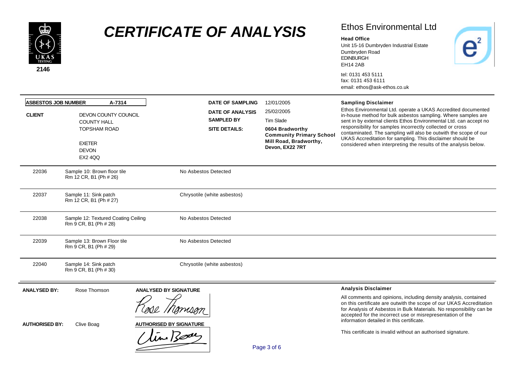

## Ethos Environmental Ltd

 $\overline{e}^2$ 

#### **Head Office**

Unit 15-16 Dumbryden Industrial Estate Dumbryden Road EDINBURGH EH14 2AB

| <b>ASBESTOS JOB NUMBER</b><br>A-7314 |                                                                                                                      | <b>DATE OF SAMPLING</b>                                              | 12/01/2005                                                                                                                 | <b>Sampling Disclaimer</b>                                                                                                                                                                                                                                                                                                                                                                                                                                             |  |
|--------------------------------------|----------------------------------------------------------------------------------------------------------------------|----------------------------------------------------------------------|----------------------------------------------------------------------------------------------------------------------------|------------------------------------------------------------------------------------------------------------------------------------------------------------------------------------------------------------------------------------------------------------------------------------------------------------------------------------------------------------------------------------------------------------------------------------------------------------------------|--|
| <b>CLIENT</b>                        | DEVON COUNTY COUNCIL<br><b>COUNTY HALL</b><br><b>TOPSHAM ROAD</b><br><b>EXETER</b><br><b>DEVON</b><br><b>EX2 4QQ</b> | <b>DATE OF ANALYSIS</b><br><b>SAMPLED BY</b><br><b>SITE DETAILS:</b> | 25/02/2005<br>Tim Slade<br>0604 Bradworthy<br><b>Community Primary School</b><br>Mill Road, Bradworthy,<br>Devon, EX22 7RT | Ethos Environmental Ltd. operate a UKAS Accredited documented<br>in-house method for bulk asbestos sampling. Where samples are<br>sent in by external clients Ethos Environmental Ltd. can accept no<br>responsibility for samples incorrectly collected or cross<br>contaminated. The sampling will also be outwith the scope of our<br>UKAS Accreditation for sampling. This disclaimer should be<br>considered when interpreting the results of the analysis below. |  |
| 22036                                | Sample 10: Brown floor tile<br>Rm 12 CR, B1 (Ph # 26)                                                                | No Asbestos Detected                                                 |                                                                                                                            |                                                                                                                                                                                                                                                                                                                                                                                                                                                                        |  |
| 22037                                | Sample 11: Sink patch<br>Rm 12 CR, B1 (Ph # 27)                                                                      | Chrysotile (white asbestos)                                          |                                                                                                                            |                                                                                                                                                                                                                                                                                                                                                                                                                                                                        |  |
| 22038                                | Sample 12: Textured Coating Ceiling<br>Rm 9 CR, B1 (Ph # 28)                                                         | No Asbestos Detected                                                 |                                                                                                                            |                                                                                                                                                                                                                                                                                                                                                                                                                                                                        |  |
| 22039                                | Sample 13: Brown Floor tile<br>Rm 9 CR, B1 (Ph # 29)                                                                 | No Asbestos Detected                                                 |                                                                                                                            |                                                                                                                                                                                                                                                                                                                                                                                                                                                                        |  |
| 22040                                | Sample 14: Sink patch<br>Rm 9 CR, B1 (Ph # 30)                                                                       | Chrysotile (white asbestos)                                          |                                                                                                                            |                                                                                                                                                                                                                                                                                                                                                                                                                                                                        |  |
| <b>ANALYSED BY:</b>                  | Rose Thomson                                                                                                         | <b>ANALYSED BY SIGNATURE</b>                                         |                                                                                                                            | <b>Analysis Disclaimer</b><br>All comments and opinions, including density analysis, contained                                                                                                                                                                                                                                                                                                                                                                         |  |
| <b>AUTHORISED BY:</b>                | Clive Boag                                                                                                           | <b>AUTHORISED BY SIGNATURE</b><br>tin Bode                           | Page 3 of 6                                                                                                                | on this certificate are outwith the scope of our UKAS Accreditation<br>for Analysis of Asbestos in Bulk Materials. No responsibility can be<br>accepted for the incorrect use or misrepresentation of the<br>information detailed in this certificate.<br>This certificate is invalid without an authorised signature.                                                                                                                                                 |  |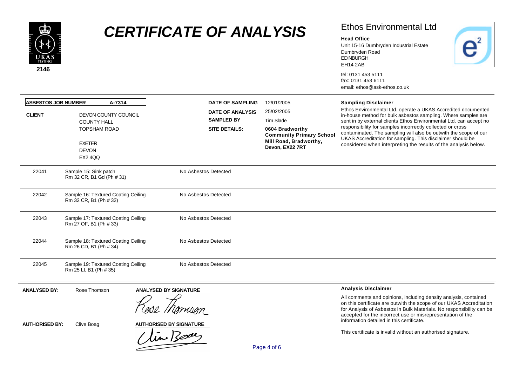

## Ethos Environmental Ltd

 $\overline{e}^2$ 

#### **Head Office**

Unit 15-16 Dumbryden Industrial Estate Dumbryden Road EDINBURGH EH14 2AB

| <b>ASBESTOS JOB NUMBER</b> | A-7314                                                                                                               |                                            | <b>DATE OF SAMPLING</b>                                              | 12/01/2005                                                                                                                 | <b>Sampling Disclaimer</b>                                                                                                                                                                                                                                                                                                                                                                                                                                             |
|----------------------------|----------------------------------------------------------------------------------------------------------------------|--------------------------------------------|----------------------------------------------------------------------|----------------------------------------------------------------------------------------------------------------------------|------------------------------------------------------------------------------------------------------------------------------------------------------------------------------------------------------------------------------------------------------------------------------------------------------------------------------------------------------------------------------------------------------------------------------------------------------------------------|
| <b>CLIENT</b>              | DEVON COUNTY COUNCIL<br><b>COUNTY HALL</b><br><b>TOPSHAM ROAD</b><br><b>EXETER</b><br><b>DEVON</b><br><b>EX2 4QQ</b> |                                            | <b>DATE OF ANALYSIS</b><br><b>SAMPLED BY</b><br><b>SITE DETAILS:</b> | 25/02/2005<br>Tim Slade<br>0604 Bradworthy<br><b>Community Primary School</b><br>Mill Road, Bradworthy,<br>Devon, EX22 7RT | Ethos Environmental Ltd. operate a UKAS Accredited documented<br>in-house method for bulk asbestos sampling. Where samples are<br>sent in by external clients Ethos Environmental Ltd. can accept no<br>responsibility for samples incorrectly collected or cross<br>contaminated. The sampling will also be outwith the scope of our<br>UKAS Accreditation for sampling. This disclaimer should be<br>considered when interpreting the results of the analysis below. |
| 22041                      | Sample 15: Sink patch<br>Rm 32 CR, B1 Gd (Ph # 31)                                                                   |                                            | No Asbestos Detected                                                 |                                                                                                                            |                                                                                                                                                                                                                                                                                                                                                                                                                                                                        |
| 22042                      | Sample 16: Textured Coating Ceiling<br>Rm 32 CR, B1 (Ph # 32)                                                        |                                            | No Asbestos Detected                                                 |                                                                                                                            |                                                                                                                                                                                                                                                                                                                                                                                                                                                                        |
| 22043                      | Sample 17: Textured Coating Ceiling<br>Rm 27 OF, B1 (Ph # 33)                                                        |                                            | No Asbestos Detected                                                 |                                                                                                                            |                                                                                                                                                                                                                                                                                                                                                                                                                                                                        |
| 22044                      | Sample 18: Textured Coating Ceiling<br>Rm 26 CD, B1 (Ph # 34)                                                        |                                            | No Asbestos Detected                                                 |                                                                                                                            |                                                                                                                                                                                                                                                                                                                                                                                                                                                                        |
| 22045                      | Sample 19: Textured Coating Ceiling<br>Rm 25 LI, B1 (Ph # 35)                                                        |                                            | No Asbestos Detected                                                 |                                                                                                                            |                                                                                                                                                                                                                                                                                                                                                                                                                                                                        |
| <b>ANALYSED BY:</b>        | Rose Thomson                                                                                                         | <b>ANALYSED BY SIGNATURE</b>               |                                                                      |                                                                                                                            | <b>Analysis Disclaimer</b>                                                                                                                                                                                                                                                                                                                                                                                                                                             |
| <b>AUTHORISED BY:</b>      | Clive Boag                                                                                                           | <b>AUTHORISED BY SIGNATURE</b><br>tin Bode |                                                                      | Page 4 of 6                                                                                                                | All comments and opinions, including density analysis, contained<br>on this certificate are outwith the scope of our UKAS Accreditation<br>for Analysis of Asbestos in Bulk Materials. No responsibility can be<br>accepted for the incorrect use or misrepresentation of the<br>information detailed in this certificate.<br>This certificate is invalid without an authorised signature.                                                                             |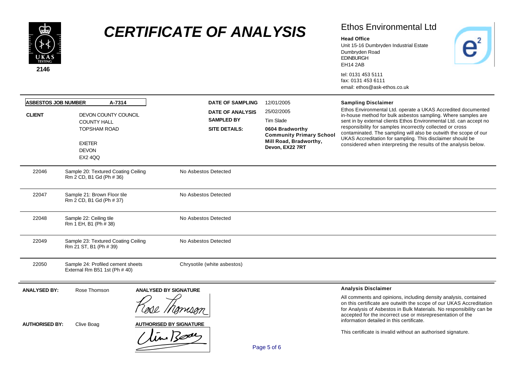

## Ethos Environmental Ltd

 $\overline{e}^2$ 

#### **Head Office**

Unit 15-16 Dumbryden Industrial Estate Dumbryden Road EDINBURGH EH14 2AB

| <b>ASBESTOS JOB NUMBER</b><br>A-7314 |                                                                                                               |                                             | <b>DATE OF SAMPLING</b>                                       | 12/01/2005                                                                                                                 | <b>Sampling Disclaimer</b>                                                                                                                                                                                                                                                                                                                                                                                                                                             |
|--------------------------------------|---------------------------------------------------------------------------------------------------------------|---------------------------------------------|---------------------------------------------------------------|----------------------------------------------------------------------------------------------------------------------------|------------------------------------------------------------------------------------------------------------------------------------------------------------------------------------------------------------------------------------------------------------------------------------------------------------------------------------------------------------------------------------------------------------------------------------------------------------------------|
| <b>CLIENT</b>                        | DEVON COUNTY COUNCIL<br><b>COUNTY HALL</b><br>TOPSHAM ROAD<br><b>EXETER</b><br><b>DEVON</b><br><b>EX2 4QQ</b> |                                             | DATE OF ANALYSIS<br><b>SAMPLED BY</b><br><b>SITE DETAILS:</b> | 25/02/2005<br>Tim Slade<br>0604 Bradworthy<br><b>Community Primary School</b><br>Mill Road, Bradworthy,<br>Devon, EX22 7RT | Ethos Environmental Ltd. operate a UKAS Accredited documented<br>in-house method for bulk asbestos sampling. Where samples are<br>sent in by external clients Ethos Environmental Ltd. can accept no<br>responsibility for samples incorrectly collected or cross<br>contaminated. The sampling will also be outwith the scope of our<br>UKAS Accreditation for sampling. This disclaimer should be<br>considered when interpreting the results of the analysis below. |
| 22046                                | Sample 20: Textured Coating Ceiling<br>Rm 2 CD, B1 Gd (Ph # 36)                                               |                                             | No Asbestos Detected                                          |                                                                                                                            |                                                                                                                                                                                                                                                                                                                                                                                                                                                                        |
| 22047                                | Sample 21: Brown Floor tile<br>Rm 2 CD, B1 Gd (Ph # 37)                                                       |                                             | No Asbestos Detected                                          |                                                                                                                            |                                                                                                                                                                                                                                                                                                                                                                                                                                                                        |
| 22048                                | Sample 22: Ceiling tile<br>Rm 1 EH, B1 (Ph # 38)                                                              |                                             | No Asbestos Detected                                          |                                                                                                                            |                                                                                                                                                                                                                                                                                                                                                                                                                                                                        |
| 22049                                | Sample 23: Textured Coating Ceiling<br>Rm 21 ST, B1 (Ph # 39)                                                 |                                             | No Asbestos Detected                                          |                                                                                                                            |                                                                                                                                                                                                                                                                                                                                                                                                                                                                        |
| 22050                                | Sample 24: Profiled cement sheets<br>External Rm B51 1st (Ph # 40)                                            |                                             | Chrysotile (white asbestos)                                   |                                                                                                                            |                                                                                                                                                                                                                                                                                                                                                                                                                                                                        |
| <b>ANALYSED BY:</b>                  | Rose Thomson                                                                                                  | <b>ANALYSED BY SIGNATURE</b>                |                                                               |                                                                                                                            | <b>Analysis Disclaimer</b>                                                                                                                                                                                                                                                                                                                                                                                                                                             |
| <b>AUTHORISED BY:</b>                | Clive Boag                                                                                                    | <b>AUTHORISED BY SIGNATURE</b><br>time Body |                                                               | Page 5 of 6                                                                                                                | All comments and opinions, including density analysis, contained<br>on this certificate are outwith the scope of our UKAS Accreditation<br>for Analysis of Asbestos in Bulk Materials. No responsibility can be<br>accepted for the incorrect use or misrepresentation of the<br>information detailed in this certificate.<br>This certificate is invalid without an authorised signature.                                                                             |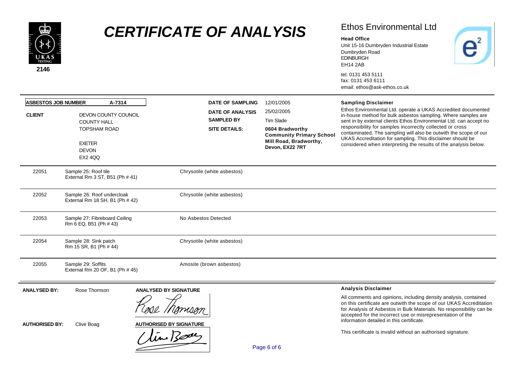

## Ethos Environmental Ltd

 $\overline{e}^2$ 

#### **Head Office**

Unit 15-16 Dumbryden Industrial Estate Dumbryden Road EDINBURGH EH14 2AB

| <b>ASBESTOS JOB NUMBER</b><br>A-7314 |                                                                                                                      | <b>DATE OF SAMPLING</b>                                              | 12/01/2005                                                                                                                 | <b>Sampling Disclaimer</b>                                                                                                                                                                                                                                                                                                                                                                                                                                             |
|--------------------------------------|----------------------------------------------------------------------------------------------------------------------|----------------------------------------------------------------------|----------------------------------------------------------------------------------------------------------------------------|------------------------------------------------------------------------------------------------------------------------------------------------------------------------------------------------------------------------------------------------------------------------------------------------------------------------------------------------------------------------------------------------------------------------------------------------------------------------|
| <b>CLIENT</b>                        | DEVON COUNTY COUNCIL<br><b>COUNTY HALL</b><br><b>TOPSHAM ROAD</b><br><b>EXETER</b><br><b>DEVON</b><br><b>EX2 4QQ</b> | <b>DATE OF ANALYSIS</b><br><b>SAMPLED BY</b><br><b>SITE DETAILS:</b> | 25/02/2005<br>Tim Slade<br>0604 Bradworthy<br><b>Community Primary School</b><br>Mill Road, Bradworthy,<br>Devon, EX22 7RT | Ethos Environmental Ltd. operate a UKAS Accredited documented<br>in-house method for bulk asbestos sampling. Where samples are<br>sent in by external clients Ethos Environmental Ltd. can accept no<br>responsibility for samples incorrectly collected or cross<br>contaminated. The sampling will also be outwith the scope of our<br>UKAS Accreditation for sampling. This disclaimer should be<br>considered when interpreting the results of the analysis below. |
| 22051                                | Sample 25: Roof tile<br>External Rm 3 ST, B51 (Ph # 41)                                                              | Chrysotile (white asbestos)                                          |                                                                                                                            |                                                                                                                                                                                                                                                                                                                                                                                                                                                                        |
| 22052                                | Sample 26: Roof undercloak<br>External Rm 18 SH, B1 (Ph # 42)                                                        | Chrysotile (white asbestos)                                          |                                                                                                                            |                                                                                                                                                                                                                                                                                                                                                                                                                                                                        |
| 22053                                | Sample 27: Fibreboard Ceiling<br>Rm 6 EQ, B51 (Ph # 43)                                                              | No Asbestos Detected                                                 |                                                                                                                            |                                                                                                                                                                                                                                                                                                                                                                                                                                                                        |
| 22054                                | Sample 28: Sink patch<br>Rm 15 SR, B1 (Ph # 44)                                                                      | Chrysotile (white asbestos)                                          |                                                                                                                            |                                                                                                                                                                                                                                                                                                                                                                                                                                                                        |
| 22055                                | Sample 29: Soffits<br>External Rm 20 OF, B1 (Ph # 45)                                                                | Amosite (brown asbestos)                                             |                                                                                                                            |                                                                                                                                                                                                                                                                                                                                                                                                                                                                        |
| <b>ANALYSED BY:</b>                  | Rose Thomson                                                                                                         | <b>ANALYSED BY SIGNATURE</b>                                         |                                                                                                                            | <b>Analysis Disclaimer</b>                                                                                                                                                                                                                                                                                                                                                                                                                                             |
| <b>AUTHORISED BY:</b>                | Clive Boag                                                                                                           | <b>AUTHORISED BY SIGNATURE</b><br>time Bodes                         | Page 6 of 6                                                                                                                | All comments and opinions, including density analysis, contained<br>on this certificate are outwith the scope of our UKAS Accreditation<br>for Analysis of Asbestos in Bulk Materials. No responsibility can be<br>accepted for the incorrect use or misrepresentation of the<br>information detailed in this certificate.<br>This certificate is invalid without an authorised signature.                                                                             |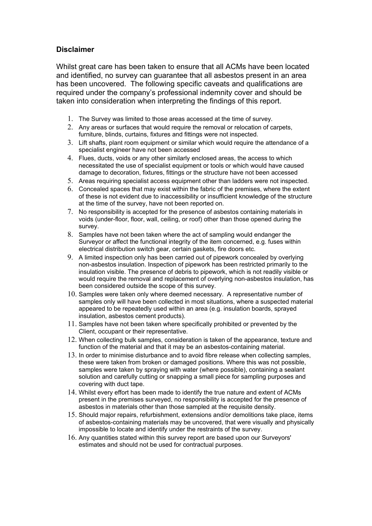### **Disclaimer**

Whilst great care has been taken to ensure that all ACMs have been located and identified, no survey can guarantee that all asbestos present in an area has been uncovered. The following specific caveats and qualifications are required under the company's professional indemnity cover and should be taken into consideration when interpreting the findings of this report.

- 1. The Survey was limited to those areas accessed at the time of survey.
- 2. Any areas or surfaces that would require the removal or relocation of carpets, furniture, blinds, curtains, fixtures and fittings were not inspected.
- 3. Lift shafts, plant room equipment or similar which would require the attendance of a specialist engineer have not been accessed
- 4. Flues, ducts, voids or any other similarly enclosed areas, the access to which necessitated the use of specialist equipment or tools or which would have caused damage to decoration, fixtures, fittings or the structure have not been accessed
- 5. Areas requiring specialist access equipment other than ladders were not inspected.
- 6. Concealed spaces that may exist within the fabric of the premises, where the extent of these is not evident due to inaccessibility or insufficient knowledge of the structure at the time of the survey, have not been reported on.
- 7. No responsibility is accepted for the presence of asbestos containing materials in voids (under-floor, floor, wall, ceiling, or roof) other than those opened during the survey.
- 8. Samples have not been taken where the act of sampling would endanger the Surveyor or affect the functional integrity of the item concerned, e.g. fuses within electrical distribution switch gear, certain gaskets, fire doors etc.
- 9. A limited inspection only has been carried out of pipework concealed by overlying non-asbestos insulation. Inspection of pipework has been restricted primarily to the insulation visible. The presence of debris to pipework, which is not readily visible or would require the removal and replacement of overlying non-asbestos insulation, has been considered outside the scope of this survey.
- 10. Samples were taken only where deemed necessary. A representative number of samples only will have been collected in most situations, where a suspected material appeared to be repeatedly used within an area (e.g. insulation boards, sprayed insulation, asbestos cement products).
- 11. Samples have not been taken where specifically prohibited or prevented by the Client, occupant or their representative.
- 12. When collecting bulk samples, consideration is taken of the appearance, texture and function of the material and that it may be an asbestos-containing material.
- 13. In order to minimise disturbance and to avoid fibre release when collecting samples, these were taken from broken or damaged positions. Where this was not possible, samples were taken by spraying with water (where possible), containing a sealant solution and carefully cutting or snapping a small piece for sampling purposes and covering with duct tape.
- 14. Whilst every effort has been made to identify the true nature and extent of ACMs present in the premises surveyed, no responsibility is accepted for the presence of asbestos in materials other than those sampled at the requisite density.
- 15. Should major repairs, refurbishment, extensions and/or demolitions take place, items of asbestos-containing materials may be uncovered, that were visually and physically impossible to locate and identify under the restraints of the survey.
- 16. Any quantities stated within this survey report are based upon our Surveyors' estimates and should not be used for contractual purposes.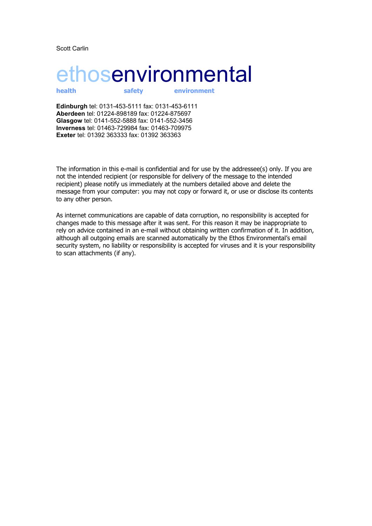Scott Carlin

# ethosenvironmental

**health safety environment**

**Edinburgh** tel: 0131-453-5111 fax: 0131-453-6111 **Aberdeen** tel: 01224-898189 fax: 01224-875697 **Glasgow** tel: 0141-552-5888 fax: 0141-552-3456 **Inverness** tel: 01463-729984 fax: 01463-709975 **Exeter** tel: 01392 363333 fax: 01392 363363

The information in this e-mail is confidential and for use by the addressee(s) only. If you are not the intended recipient (or responsible for delivery of the message to the intended recipient) please notify us immediately at the numbers detailed above and delete the message from your computer: you may not copy or forward it, or use or disclose its contents to any other person.

As internet communications are capable of data corruption, no responsibility is accepted for changes made to this message after it was sent. For this reason it may be inappropriate to rely on advice contained in an e-mail without obtaining written confirmation of it. In addition, although all outgoing emails are scanned automatically by the Ethos Environmental's email security system, no liability or responsibility is accepted for viruses and it is your responsibility to scan attachments (if any).